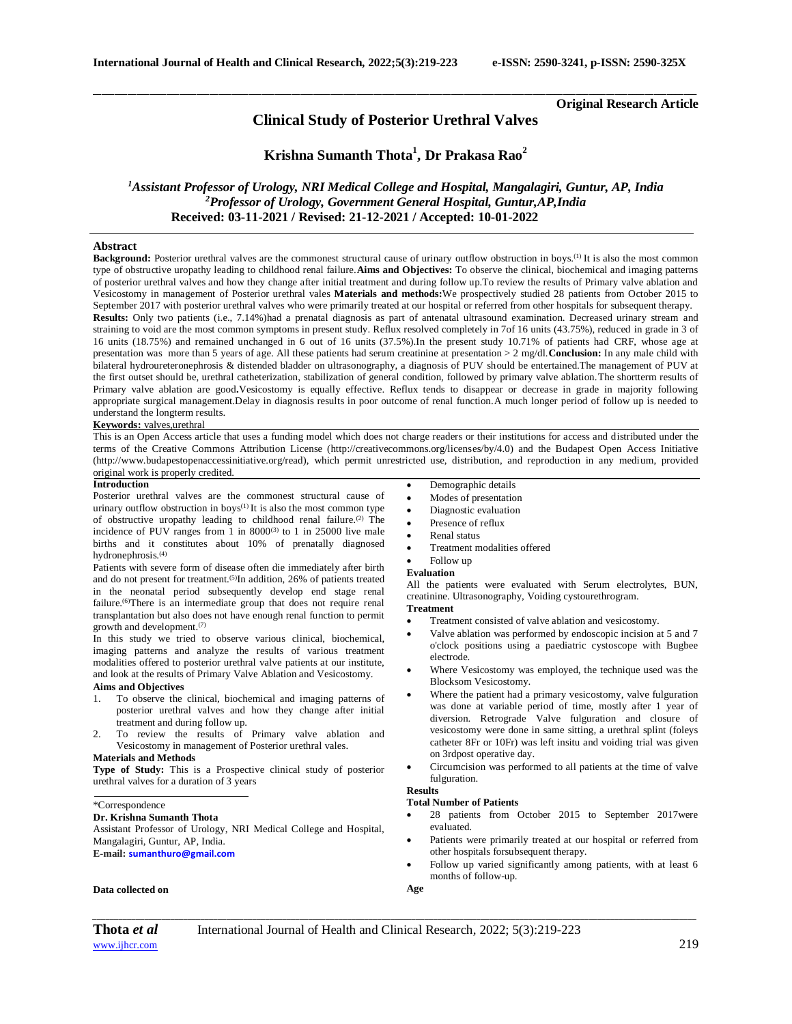**Original Research Article**

## **Clinical Study of Posterior Urethral Valves**

\_\_\_\_\_\_\_\_\_\_\_\_\_\_\_\_\_\_\_\_\_\_\_\_\_\_\_\_\_\_\_\_\_\_\_\_\_\_\_\_\_\_\_\_\_\_\_\_\_\_\_\_\_\_\_\_\_\_\_\_\_\_\_\_\_\_\_\_\_\_\_\_\_\_\_\_\_\_\_\_\_\_\_\_\_\_\_\_\_\_\_\_\_\_\_\_\_\_\_\_\_\_\_\_\_\_\_\_\_\_\_\_\_\_\_\_\_\_\_\_\_\_\_\_\_\_\_\_\_\_\_\_\_\_\_\_\_\_\_\_

**Krishna Sumanth Thota<sup>1</sup> , Dr Prakasa Rao<sup>2</sup>**

*<sup>1</sup>Assistant Professor of Urology, NRI Medical College and Hospital, Mangalagiri, Guntur, AP, India <sup>2</sup>Professor of Urology, Government General Hospital, Guntur,AP,India*  **Received: 03-11-2021 / Revised: 21-12-2021 / Accepted: 10-01-2022**

### **Abstract**

**Background:** Posterior urethral valves are the commonest structural cause of urinary outflow obstruction in boys.<sup>(1)</sup> It is also the most common type of obstructive uropathy leading to childhood renal failure.**Aims and Objectives:** To observe the clinical, biochemical and imaging patterns of posterior urethral valves and how they change after initial treatment and during follow up.To review the results of Primary valve ablation and Vesicostomy in management of Posterior urethral vales **Materials and methods:**We prospectively studied 28 patients from October 2015 to September 2017 with posterior urethral valves who were primarily treated at our hospital or referred from other hospitals for subsequent therapy.

**Results:** Only two patients (i.e., 7.14%)had a prenatal diagnosis as part of antenatal ultrasound examination. Decreased urinary stream and straining to void are the most common symptoms in present study. Reflux resolved completely in 7of 16 units (43.75%), reduced in grade in 3 of 16 units (18.75%) and remained unchanged in 6 out of 16 units (37.5%).In the present study 10.71% of patients had CRF, whose age at presentation was more than 5 years of age. All these patients had serum creatinine at presentation > 2 mg/dl.**Conclusion:** In any male child with bilateral hydroureteronephrosis & distended bladder on ultrasonography, a diagnosis of PUV should be entertained.The management of PUV at the first outset should be, urethral catheterization, stabilization of general condition, followed by primary valve ablation.The shortterm results of Primary valve ablation are good**.**Vesicostomy is equally effective. Reflux tends to disappear or decrease in grade in majority following appropriate surgical management.Delay in diagnosis results in poor outcome of renal function.A much longer period of follow up is needed to understand the longterm results.

#### **Keywords:** valves,urethral

This is an Open Access article that uses a funding model which does not charge readers or their institutions for access and distributed under the terms of the Creative Commons Attribution License (http://creativecommons.org/licenses/by/4.0) and the Budapest Open Access Initiative (http://www.budapestopenaccessinitiative.org/read), which permit unrestricted use, distribution, and reproduction in any medium, provided original work is properly credited.

#### **Introduction**

Posterior urethral valves are the commonest structural cause of urinary outflow obstruction in boys<sup>(1)</sup> It is also the most common type of obstructive uropathy leading to childhood renal failure.<sup>(2)</sup> The incidence of PUV ranges from 1 in  $8000^{(3)}$  to 1 in 25000 live male births and it constitutes about 10% of prenatally diagnosed hydronephrosis.(4)

Patients with severe form of disease often die immediately after birth and do not present for treatment.(5)In addition, 26% of patients treated in the neonatal period subsequently develop end stage renal failure.(6)There is an intermediate group that does not require renal transplantation but also does not have enough renal function to permit growth and development.(7)

In this study we tried to observe various clinical, biochemical, imaging patterns and analyze the results of various treatment modalities offered to posterior urethral valve patients at our institute, and look at the results of Primary Valve Ablation and Vesicostomy.

### **Aims and Objectives**

- 1. To observe the clinical, biochemical and imaging patterns of posterior urethral valves and how they change after initial treatment and during follow up.
- 2. To review the results of Primary valve ablation and Vesicostomy in management of Posterior urethral vales.

### **Materials and Methods**

**Type of Study:** This is a Prospective clinical study of posterior urethral valves for a duration of 3 years

\*Correspondence

### **Dr. Krishna Sumanth Thota**

Assistant Professor of Urology, NRI Medical College and Hospital, Mangalagiri, Guntur, AP, India. **E-mail: [sumanthuro@gmail.com](mailto:sumanthuro@gmail.com)**

# **Data collected on**

- Demographic details
- Modes of presentation
- Diagnostic evaluation
- Presence of reflux
- Renal status
- Treatment modalities offered
- Follow up

### **Evaluation**

All the patients were evaluated with Serum electrolytes, BUN, creatinine. Ultrasonography, Voiding cystourethrogram.

#### **Treatment**

- Treatment consisted of valve ablation and vesicostomy.
- Valve ablation was performed by endoscopic incision at 5 and 7 o'clock positions using a paediatric cystoscope with Bugbee electrode.
- Where Vesicostomy was employed, the technique used was the Blocksom Vesicostomy.
- Where the patient had a primary vesicostomy, valve fulguration was done at variable period of time, mostly after 1 year of diversion. Retrograde Valve fulguration and closure of vesicostomy were done in same sitting, a urethral splint (foleys catheter 8Fr or 10Fr) was left insitu and voiding trial was given on 3rdpost operative day.
- Circumcision was performed to all patients at the time of valve fulguration.

### **Results**

### **Total Number of Patients**

- 28 patients from October 2015 to September 2017were evaluated.
- Patients were primarily treated at our hospital or referred from other hospitals forsubsequent therapy.
- Follow up varied significantly among patients, with at least 6 months of follow-up.
- **Age**

*\_\_\_\_\_\_\_\_\_\_\_\_\_\_\_\_\_\_\_\_\_\_\_\_\_\_\_\_\_\_\_\_\_\_\_\_\_\_\_\_\_\_\_\_\_\_\_\_\_\_\_\_\_\_\_\_\_\_\_\_\_\_\_\_\_\_\_\_\_\_\_\_\_\_\_\_\_\_\_\_\_\_\_\_\_\_\_\_\_\_\_\_\_\_\_\_\_\_\_\_\_\_\_\_\_\_\_\_\_\_\_\_\_\_\_\_\_\_\_\_\_\_\_\_\_\_\_\_\_\_\_\_\_\_\_\_\_\_\_\_*

**Thota** *et al*International Journal of Health and Clinical Research*,* 2022; 5(3):219-223 [www.ijhcr.com](about:blank)  $219$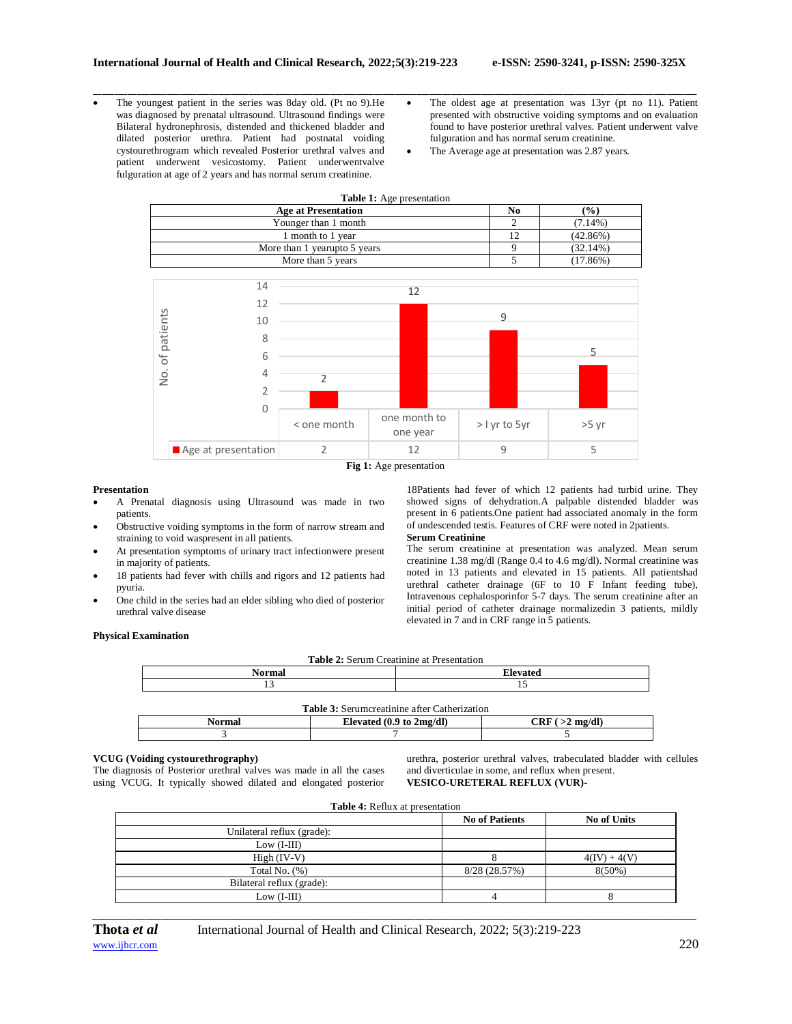- The youngest patient in the series was 8day old. (Pt no 9).He was diagnosed by prenatal ultrasound. Ultrasound findings were Bilateral hydronephrosis, distended and thickened bladder and dilated posterior urethra. Patient had postnatal voiding cystourethrogram which revealed Posterior urethral valves and patient underwent vesicostomy. Patient underwentvalve fulguration at age of 2 years and has normal serum creatinine.
- The oldest age at presentation was 13yr (pt no 11). Patient presented with obstructive voiding symptoms and on evaluation found to have posterior urethral valves. Patient underwent valve fulguration and has normal serum creatinine.
- The Average age at presentation was 2.87 years.



\_\_\_\_\_\_\_\_\_\_\_\_\_\_\_\_\_\_\_\_\_\_\_\_\_\_\_\_\_\_\_\_\_\_\_\_\_\_\_\_\_\_\_\_\_\_\_\_\_\_\_\_\_\_\_\_\_\_\_\_\_\_\_\_\_\_\_\_\_\_\_\_\_\_\_\_\_\_\_\_\_\_\_\_\_\_\_\_\_\_\_\_\_\_\_\_\_\_\_\_\_\_\_\_\_\_\_\_\_\_\_\_\_\_\_\_\_\_\_\_\_\_\_\_\_\_\_\_\_\_\_\_\_\_\_\_\_\_\_\_

### **Presentation**

- A Prenatal diagnosis using Ultrasound was made in two patients.
- Obstructive voiding symptoms in the form of narrow stream and straining to void waspresent in all patients.
- At presentation symptoms of urinary tract infectionwere present in majority of patients.
- 18 patients had fever with chills and rigors and 12 patients had pyuria.
- One child in the series had an elder sibling who died of posterior urethral valve disease

18Patients had fever of which 12 patients had turbid urine. They showed signs of dehydration.A palpable distended bladder was present in 6 patients.One patient had associated anomaly in the form of undescended testis. Features of CRF were noted in 2patients.

### **Serum Creatinine**

The serum creatinine at presentation was analyzed. Mean serum creatinine 1.38 mg/dl (Range 0.4 to 4.6 mg/dl). Normal creatinine was noted in 13 patients and elevated in 15 patients. All patientshad urethral catheter drainage (6F to 10 F Infant feeding tube), Intravenous cephalosporinfor 5-7 days. The serum creatinine after an initial period of catheter drainage normalizedin 3 patients, mildly elevated in 7 and in CRF range in 5 patients.

### **Physical Examination**

|                                                     | <b>Table 2:</b> Serum Creatinine at Presentation |                 |  |  |
|-----------------------------------------------------|--------------------------------------------------|-----------------|--|--|
| <b>Normal</b>                                       |                                                  | <b>Elevated</b> |  |  |
| 13                                                  |                                                  |                 |  |  |
| <b>Table 3:</b> Serumcreatinine after Catherization |                                                  |                 |  |  |
| Normal                                              | Elevated $(0.9 \text{ to } 2 \text{mg/dl})$      | CRF(>2 mg/dl)   |  |  |

 $3 \hspace{2.5cm} 7 \hspace{2.5cm} 5$ 

### **VCUG (Voiding cystourethrography)**

The diagnosis of Posterior urethral valves was made in all the cases using VCUG. It typically showed dilated and elongated posterior urethra, posterior urethral valves, trabeculated bladder with cellules and diverticulae in some, and reflux when present. **VESICO-URETERAL REFLUX (VUR)-**

|                            | <b>Table 4:</b> Reflux at presentation |                    |  |
|----------------------------|----------------------------------------|--------------------|--|
|                            | <b>No of Patients</b>                  | <b>No of Units</b> |  |
| Unilateral reflux (grade): |                                        |                    |  |
| $Low (I-III)$              |                                        |                    |  |
| $High (IV-V)$              |                                        | $4(IV) + 4(V)$     |  |
| Total No. $(\%)$           | 8/28(28.57%)                           | $8(50\%)$          |  |
| Bilateral reflux (grade):  |                                        |                    |  |
| $Low (I-III)$              |                                        |                    |  |

*\_\_\_\_\_\_\_\_\_\_\_\_\_\_\_\_\_\_\_\_\_\_\_\_\_\_\_\_\_\_\_\_\_\_\_\_\_\_\_\_\_\_\_\_\_\_\_\_\_\_\_\_\_\_\_\_\_\_\_\_\_\_\_\_\_\_\_\_\_\_\_\_\_\_\_\_\_\_\_\_\_\_\_\_\_\_\_\_\_\_\_\_\_\_\_\_\_\_\_\_\_\_\_\_\_\_\_\_\_\_\_\_\_\_\_\_\_\_\_\_\_\_\_\_\_\_\_\_\_\_\_\_\_\_\_\_\_\_\_\_*

**Thota** *et al*International Journal of Health and Clinical Research*,* 2022; 5(3):219-223 [www.ijhcr.com](about:blank) 220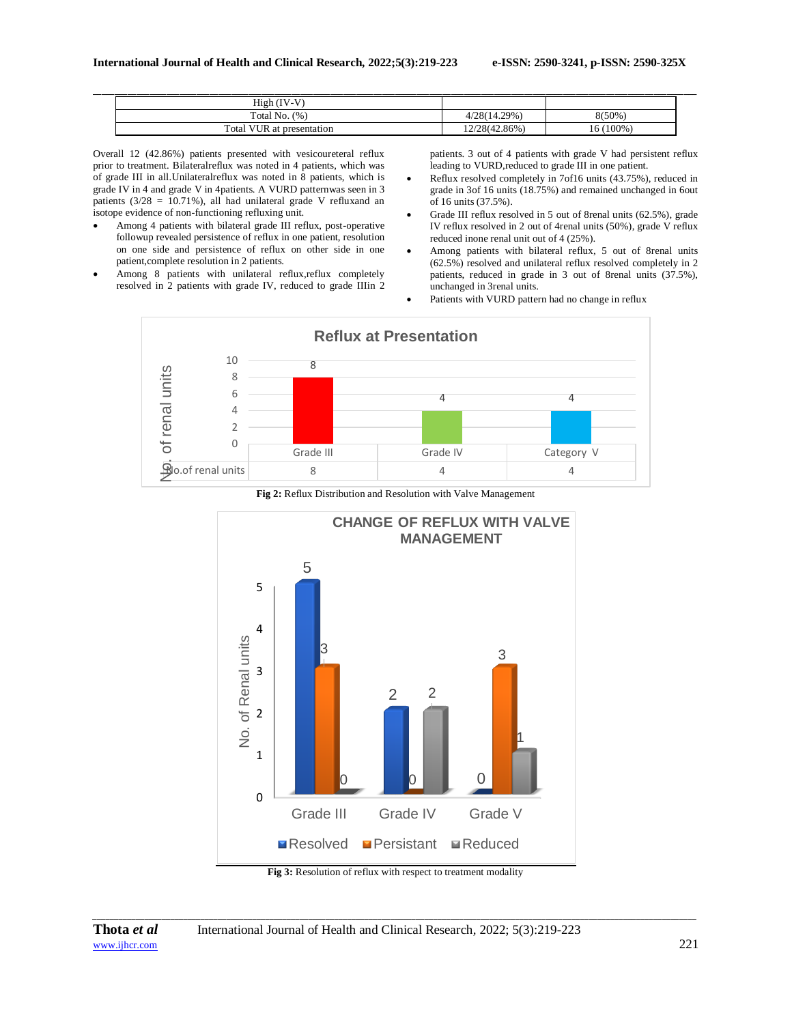| $High (IV-V)$             |              |      |
|---------------------------|--------------|------|
| Total No. $(\%)$          | 4/28(14.29%) | (50% |
| Total VUR at presentation | 2/28(42.86%) |      |

Overall 12 (42.86%) patients presented with vesicoureteral reflux prior to treatment. Bilateralreflux was noted in 4 patients, which was of grade III in all.Unilateralreflux was noted in 8 patients, which is grade IV in 4 and grade V in 4patients. A VURD patternwas seen in 3 patients ( $3/28 = 10.71\%$ ), all had unilateral grade V refluxand an isotope evidence of non-functioning refluxing unit.

- Among 4 patients with bilateral grade III reflux, post-operative followup revealed persistence of reflux in one patient, resolution on one side and persistence of reflux on other side in one patient,complete resolution in 2 patients.
- Among 8 patients with unilateral reflux,reflux completely resolved in 2 patients with grade IV, reduced to grade IIIin 2

patients. 3 out of 4 patients with grade V had persistent reflux leading to VURD,reduced to grade III in one patient.

- Reflux resolved completely in 7of16 units (43.75%), reduced in grade in 3of 16 units (18.75%) and remained unchanged in 6out of 16 units (37.5%).
- Grade III reflux resolved in 5 out of 8renal units (62.5%), grade IV reflux resolved in 2 out of 4renal units (50%), grade V reflux reduced inone renal unit out of 4 (25%).
- Among patients with bilateral reflux, 5 out of 8renal units  $(62.5\%)$  resolved and unilateral reflux resolved completely in 2 patients, reduced in grade in 3 out of 8renal units (37.5%), unchanged in 3renal units.
	- Patients with VURD pattern had no change in reflux



**Fig 2:** Reflux Distribution and Resolution with Valve Management



**Fig 3:** Resolution of reflux with respect to treatment modality

*\_\_\_\_\_\_\_\_\_\_\_\_\_\_\_\_\_\_\_\_\_\_\_\_\_\_\_\_\_\_\_\_\_\_\_\_\_\_\_\_\_\_\_\_\_\_\_\_\_\_\_\_\_\_\_\_\_\_\_\_\_\_\_\_\_\_\_\_\_\_\_\_\_\_\_\_\_\_\_\_\_\_\_\_\_\_\_\_\_\_\_\_\_\_\_\_\_\_\_\_\_\_\_\_\_\_\_\_\_\_\_\_\_\_\_\_\_\_\_\_\_\_\_\_\_\_\_\_\_\_\_\_\_\_\_\_\_\_\_\_*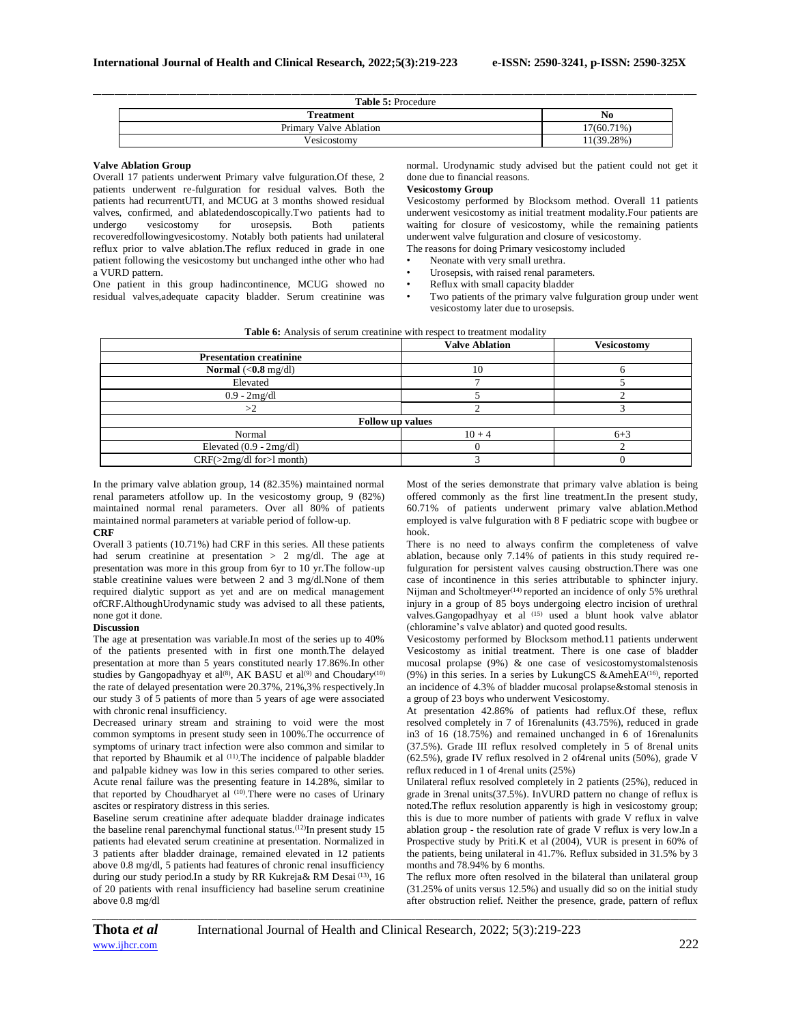| <b>Table 5: Procedure</b> |            |
|---------------------------|------------|
| <b>Treatment</b>          | No         |
| Primary Valve Ablation    | 17(60.71%) |
| Vesicostomy               | 11(39.28%) |

#### **Valve Ablation Group**

Overall 17 patients underwent Primary valve fulguration.Of these, 2 patients underwent re-fulguration for residual valves. Both the patients had recurrentUTI, and MCUG at 3 months showed residual valves, confirmed, and ablatedendoscopically.Two patients had to undergo vesicostomy for urosepsis. Both patients recoveredfollowingvesicostomy. Notably both patients had unilateral reflux prior to valve ablation.The reflux reduced in grade in one patient following the vesicostomy but unchanged inthe other who had a VURD pattern. One patient in this group hadincontinence, MCUG showed no

residual valves,adequate capacity bladder. Serum creatinine was

**Vesicostomy Group** Vesicostomy performed by Blocksom method. Overall 11 patients

normal. Urodynamic study advised but the patient could not get it

underwent vesicostomy as initial treatment modality.Four patients are waiting for closure of vesicostomy, while the remaining patients underwent valve fulguration and closure of vesicostomy. The reasons for doing Primary vesicostomy included

Neonate with very small urethra.

done due to financial reasons.

- Urosepsis, with raised renal parameters.
- 
- Reflux with small capacity bladder<br>• Two patients of the primary valve
- Two patients of the primary valve fulguration group under went vesicostomy later due to urosepsis.

|                                            | <b>Valve Ablation</b>   | <b>Vesicostomy</b> |
|--------------------------------------------|-------------------------|--------------------|
| <b>Presentation creatinine</b>             |                         |                    |
| Normal $\langle 0.8 \text{ mg/dl} \rangle$ | 10                      | h                  |
| Elevated                                   |                         |                    |
| $0.9 - 2mg/dl$                             |                         |                    |
| >2                                         |                         |                    |
|                                            | <b>Follow up values</b> |                    |
| Normal                                     | $10 + 4$                | $6 + 3$            |
| Elevated $(0.9 - 2mg/dl)$                  |                         |                    |
| $CRF(>2mg/dl$ for $>l$ month)              |                         |                    |

In the primary valve ablation group, 14 (82.35%) maintained normal renal parameters atfollow up. In the vesicostomy group, 9 (82%) maintained normal renal parameters. Over all 80% of patients maintained normal parameters at variable period of follow-up.

### **CRF**

Overall 3 patients (10.71%) had CRF in this series. All these patients had serum creatinine at presentation > 2 mg/dl. The age at presentation was more in this group from 6yr to 10 yr.The follow-up stable creatinine values were between 2 and 3 mg/dl.None of them required dialytic support as yet and are on medical management ofCRF.AlthoughUrodynamic study was advised to all these patients, none got it done.

### **Discussion**

The age at presentation was variable.In most of the series up to 40% of the patients presented with in first one month.The delayed presentation at more than 5 years constituted nearly 17.86%.In other studies by Gangopadhyay et al<sup>(8)</sup>, AK BASU et al<sup>(9)</sup> and Choudary<sup>(10)</sup> the rate of delayed presentation were 20.37%, 21%,3% respectively.In our study 3 of 5 patients of more than 5 years of age were associated with chronic renal insufficiency.

Decreased urinary stream and straining to void were the most common symptoms in present study seen in 100%.The occurrence of symptoms of urinary tract infection were also common and similar to that reported by Bhaumik et al (11) *.*The incidence of palpable bladder and palpable kidney was low in this series compared to other series. Acute renal failure was the presenting feature in 14.28%, similar to that reported by Choudharyet al (10). There were no cases of Urinary ascites or respiratory distress in this series.

Baseline serum creatinine after adequate bladder drainage indicates the baseline renal parenchymal functional status.(12)In present study 15 patients had elevated serum creatinine at presentation. Normalized in 3 patients after bladder drainage, remained elevated in 12 patients above 0.8 mg/dl, 5 patients had features of chronic renal insufficiency during our study period.In a study by RR Kukreja& RM Desai <sup>(13)</sup>, 16 of 20 patients with renal insufficiency had baseline serum creatinine above 0.8 mg/dl

Most of the series demonstrate that primary valve ablation is being offered commonly as the first line treatment.In the present study, 60.71% of patients underwent primary valve ablation.Method employed is valve fulguration with 8 F pediatric scope with bugbee or hook.

There is no need to always confirm the completeness of valve ablation, because only 7.14% of patients in this study required refulguration for persistent valves causing obstruction.There was one case of incontinence in this series attributable to sphincter injury. Nijman and Scholtmeyer<sup>(14)</sup> reported an incidence of only 5% urethral injury in a group of 85 boys undergoing electro incision of urethral valves.Gangopadhyay et al (15) used a blunt hook valve ablator (chloramine's valve ablator) and quoted good results.

Vesicostomy performed by Blocksom method.11 patients underwent Vesicostomy as initial treatment. There is one case of bladder mucosal prolapse (9%) & one case of vesicostomystomalstenosis (9%) in this series. In a series by LukungCS &AmehEA(16), reported an incidence of 4.3% of bladder mucosal prolapse&stomal stenosis in a group of 23 boys who underwent Vesicostomy.

At presentation 42.86% of patients had reflux.Of these, reflux resolved completely in 7 of 16renalunits (43.75%), reduced in grade in3 of 16 (18.75%) and remained unchanged in 6 of 16renalunits (37.5%). Grade III reflux resolved completely in 5 of 8renal units (62.5%), grade IV reflux resolved in 2 of4renal units (50%), grade V reflux reduced in 1 of 4renal units (25%)

Unilateral reflux resolved completely in 2 patients (25%), reduced in grade in 3renal units(37.5%). InVURD pattern no change of reflux is noted.The reflux resolution apparently is high in vesicostomy group; this is due to more number of patients with grade V reflux in valve ablation group - the resolution rate of grade V reflux is very low.In a Prospective study by Priti.K et al (2004), VUR is present in 60% of the patients, being unilateral in 41.7%. Reflux subsided in 31.5% by 3 months and 78.94% by 6 months.

The reflux more often resolved in the bilateral than unilateral group (31.25% of units versus 12.5%) and usually did so on the initial study after obstruction relief. Neither the presence, grade, pattern of reflux

*\_\_\_\_\_\_\_\_\_\_\_\_\_\_\_\_\_\_\_\_\_\_\_\_\_\_\_\_\_\_\_\_\_\_\_\_\_\_\_\_\_\_\_\_\_\_\_\_\_\_\_\_\_\_\_\_\_\_\_\_\_\_\_\_\_\_\_\_\_\_\_\_\_\_\_\_\_\_\_\_\_\_\_\_\_\_\_\_\_\_\_\_\_\_\_\_\_\_\_\_\_\_\_\_\_\_\_\_\_\_\_\_\_\_\_\_\_\_\_\_\_\_\_\_\_\_\_\_\_\_\_\_\_\_\_\_\_\_\_\_*